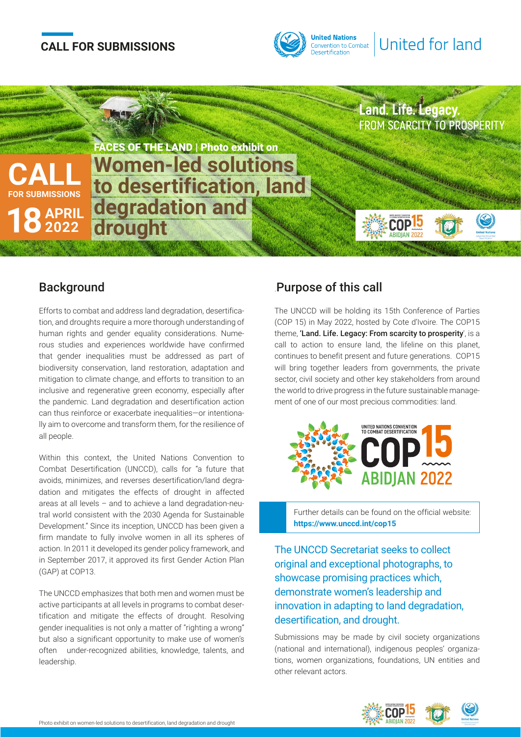# **CALL FOR SUBMISSIONS**





### **Background**

Efforts to combat and address land degradation, desertification, and droughts require a more thorough understanding of human rights and gender equality considerations. Numerous studies and experiences worldwide have confirmed that gender inequalities must be addressed as part of biodiversity conservation, land restoration, adaptation and mitigation to climate change, and efforts to transition to an inclusive and regenerative green economy, especially after the pandemic. Land degradation and desertification action can thus reinforce or exacerbate inequalities—or intentionally aim to overcome and transform them, for the resilience of all people.

Within this context, the United Nations Convention to Combat Desertification (UNCCD), calls for "a future that avoids, minimizes, and reverses desertification/land degradation and mitigates the effects of drought in affected areas at all levels – and to achieve a land degradation-neutral world consistent with the 2030 Agenda for Sustainable Development." Since its inception, UNCCD has been given a firm mandate to fully involve women in all its spheres of action. In 2011 it developed its gender policy framework, and in September 2017, it approved its first Gender Action Plan (GAP) at COP13.

The UNCCD emphasizes that both men and women must be active participants at all levels in programs to combat desertification and mitigate the effects of drought. Resolving gender inequalities is not only a matter of "righting a wrong" but also a significant opportunity to make use of women's often under-recognized abilities, knowledge, talents, and leadership.

## .Purpose of this call

The UNCCD will be holding its 15th Conference of Parties (COP 15) in May 2022, hosted by Cote d'Ivoire. The COP15 theme, 'Land. Life. Legacy: From scarcity to prosperity', is a call to action to ensure land, the lifeline on this planet, continues to benefit present and future generations. COP15 will bring together leaders from governments, the private sector, civil society and other key stakeholders from around the world to drive progress in the future sustainable management of one of our most precious commodities: land.



Further details can be found on the official website: **https://www.unccd.int/cop15**

The UNCCD Secretariat seeks to collect original and exceptional photographs, to showcase promising practices which, demonstrate women's leadership and innovation in adapting to land degradation, desertification, and drought.

Submissions may be made by civil society organizations (national and international), indigenous peoples' organizations, women organizations, foundations, UN entities and other relevant actors.

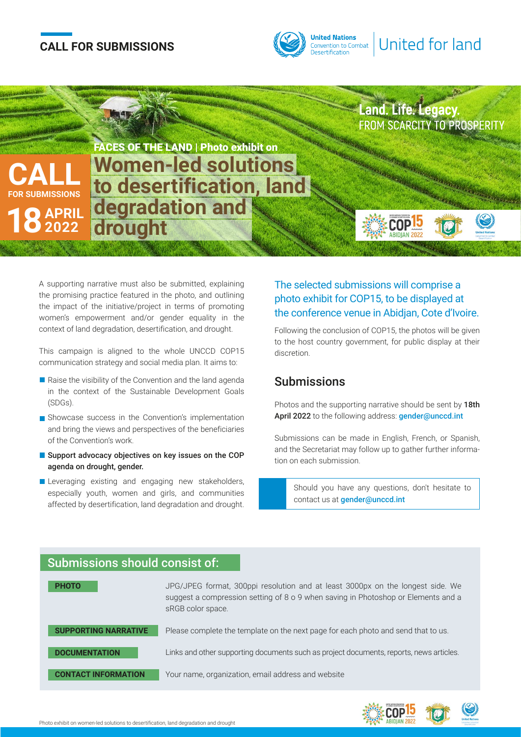# **CALL FOR SUBMISSIONS**





A supporting narrative must also be submitted, explaining the promising practice featured in the photo, and outlining the impact of the initiative/project in terms of promoting women's empowerment and/or gender equality in the context of land degradation, desertification, and drought.

This campaign is aligned to the whole UNCCD COP15 communication strategy and social media plan. It aims to:

- $\blacksquare$  Raise the visibility of the Convention and the land agenda in the context of the Sustainable Development Goals (SDGs).
- Showcase success in the Convention's implementation and bring the views and perspectives of the beneficiaries of the Convention's work.
- Support advocacy objectives on key issues on the COP agenda on drought, gender.
- Leveraging existing and engaging new stakeholders, especially youth, women and girls, and communities affected by desertification, land degradation and drought.

#### The selected submissions will comprise a photo exhibit for COP15, to be displayed at the conference venue in Abidjan, Cote d'Ivoire.

Following the conclusion of COP15, the photos will be given to the host country government, for public display at their discretion.

### Submissions

Photos and the supporting narrative should be sent by 18th April 2022 to the following address: gender@unccd.int

Submissions can be made in English, French, or Spanish, and the Secretariat may follow up to gather further information on each submission.

Should you have any questions, don't hesitate to contact us at **gender@unccd.int** 

#### JPG/JPEG format, 300ppi resolution and at least 3000px on the longest side. We suggest a compression setting of 8 o 9 when saving in Photoshop or Elements and a sRGB color space. Please complete the template on the next page for each photo and send that to us. Links and other supporting documents such as project documents, reports, news articles. Your name, organization, email address and website **PHOTO SUPPORTING NARRATIVE DOCUMENTATION CONTACT INFORMATION**  Submissions should consist of: